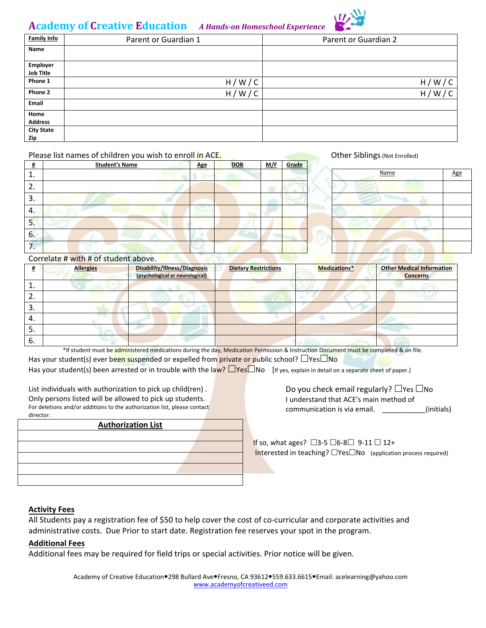# **Academy of Creative Education** *A Hands-on Homeschool Experience*



| <b>Family Info</b> | Parent or Guardian 1 | Parent or Guardian 2 |
|--------------------|----------------------|----------------------|
| Name               |                      |                      |
|                    |                      |                      |
| Employer           |                      |                      |
| <b>Job Title</b>   |                      |                      |
| Phone 1            | H/W/C                | H/W/C                |
| Phone 2            | H/W/C                | H/<br>W              |
| Email              |                      |                      |
| Home               |                      |                      |
| <b>Address</b>     |                      |                      |
| <b>City State</b>  |                      |                      |
| Zip                |                      |                      |

#### Please list names of children you wish to enroll in ACE. **Other Siblings (Not Enrolled)** Other Siblings (Not Enrolled)

| #                             | <b>Student's Name</b> | <b>Age</b>        | DOB | <u>M/F</u> | Grade |      |     |
|-------------------------------|-----------------------|-------------------|-----|------------|-------|------|-----|
| ᆠ.                            |                       |                   |     |            |       | Name | Age |
| ີ<br>z.                       |                       |                   |     |            |       |      |     |
| 3.                            |                       | <b>CONTRACTOR</b> |     |            |       |      |     |
| 4.                            |                       |                   |     |            |       |      |     |
| 5.                            |                       |                   |     |            |       |      |     |
| 6.                            |                       |                   |     |            |       |      |     |
| -<br>$\overline{\phantom{a}}$ |                       |                   |     |            |       |      |     |

| Name | Age |
|------|-----|
|      |     |
|      |     |
|      |     |
|      |     |
|      |     |
|      |     |

# Correlate # with # of student above.

| #  | <b>Allergies</b> | Disability/Illness/Diagnosis<br>(psychological or neurological) | <b>Dietary Restrictions</b> | Medications* | <b>Other Medical Information</b><br><b>Concerns</b> |  |
|----|------------------|-----------------------------------------------------------------|-----------------------------|--------------|-----------------------------------------------------|--|
| ⊥. |                  |                                                                 |                             |              |                                                     |  |
| z. |                  |                                                                 |                             |              |                                                     |  |
| 3. |                  |                                                                 |                             |              |                                                     |  |
| 4. |                  |                                                                 |                             |              |                                                     |  |
| כ. |                  |                                                                 |                             |              |                                                     |  |
| 6. |                  |                                                                 |                             |              |                                                     |  |

\*If student must be administered medications during the day, Medication Permission & Instruction Document must be completed & on file.

Has your student(s) ever been suspended or expelled from private or public school?  $\Box$  Yes $\Box$  No Has your student(s) been arrested or in trouble with the law?  $\Box$ Yes $\Box$ No [If yes, explain in detail on a separate sheet of paper.]

List individuals with authorization to pick up child(ren) . Only persons listed will be allowed to pick up students. For deletions and/or additions to the authorization list, please contact director.

#### **Authorization List**

Do you check email regularly?  $\Box$  Yes  $\Box$  No I understand that ACE's main method of communication is via email. \_\_\_\_\_\_\_\_\_\_\_(initials)

If so, what ages?  $\Box$ 3-5  $\Box$ 6-8 $\Box$  9-11  $\Box$  12+ Interested in teaching?  $\Box$  Yes $\Box$  No (application process required)

# **Activity Fees**

All Students pay a registration fee of \$50 to help cover the cost of co-curricular and corporate activities and administrative costs. Due Prior to start date. Registration fee reserves your spot in the program.

# **Additional Fees**

Additional fees may be required for field trips or special activities. Prior notice will be given.